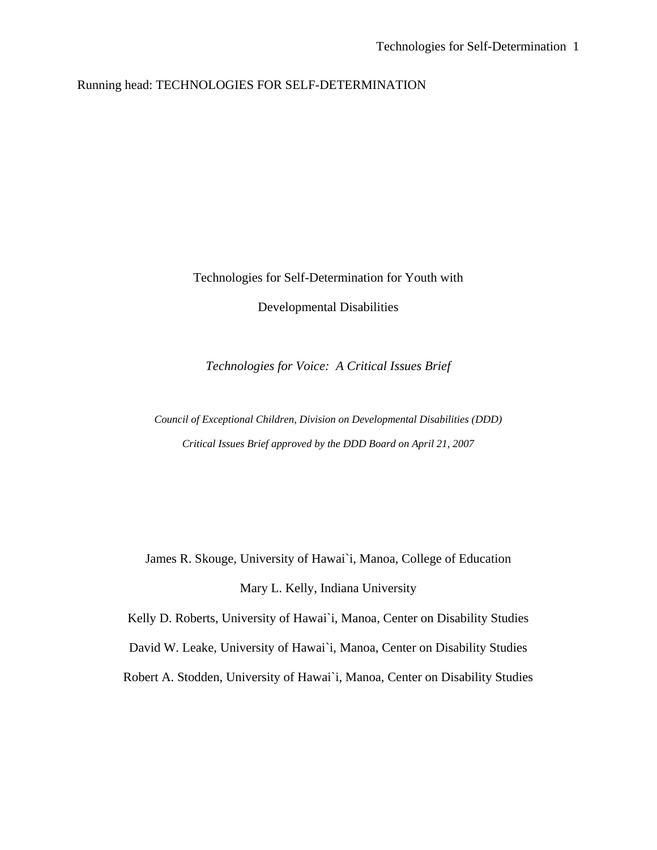### Running head: TECHNOLOGIES FOR SELF-DETERMINATION

Technologies for Self-Determination for Youth with

Developmental Disabilities

*Technologies for Voice: A Critical Issues Brief* 

*Council of Exceptional Children, Division on Developmental Disabilities (DDD) Critical Issues Brief approved by the DDD Board on April 21, 2007*

James R. Skouge, University of Hawai`i, Manoa, College of Education Mary L. Kelly, Indiana University

Kelly D. Roberts, University of Hawai`i, Manoa, Center on Disability Studies

David W. Leake, University of Hawai`i, Manoa, Center on Disability Studies

Robert A. Stodden, University of Hawai`i, Manoa, Center on Disability Studies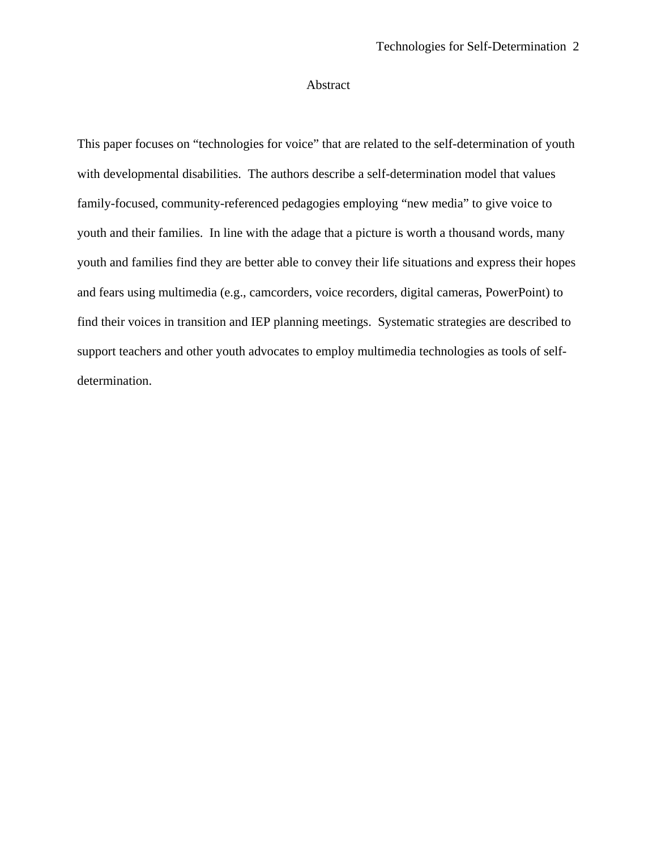### Abstract

This paper focuses on "technologies for voice" that are related to the self-determination of youth with developmental disabilities. The authors describe a self-determination model that values family-focused, community-referenced pedagogies employing "new media" to give voice to youth and their families. In line with the adage that a picture is worth a thousand words, many youth and families find they are better able to convey their life situations and express their hopes and fears using multimedia (e.g., camcorders, voice recorders, digital cameras, PowerPoint) to find their voices in transition and IEP planning meetings. Systematic strategies are described to support teachers and other youth advocates to employ multimedia technologies as tools of selfdetermination.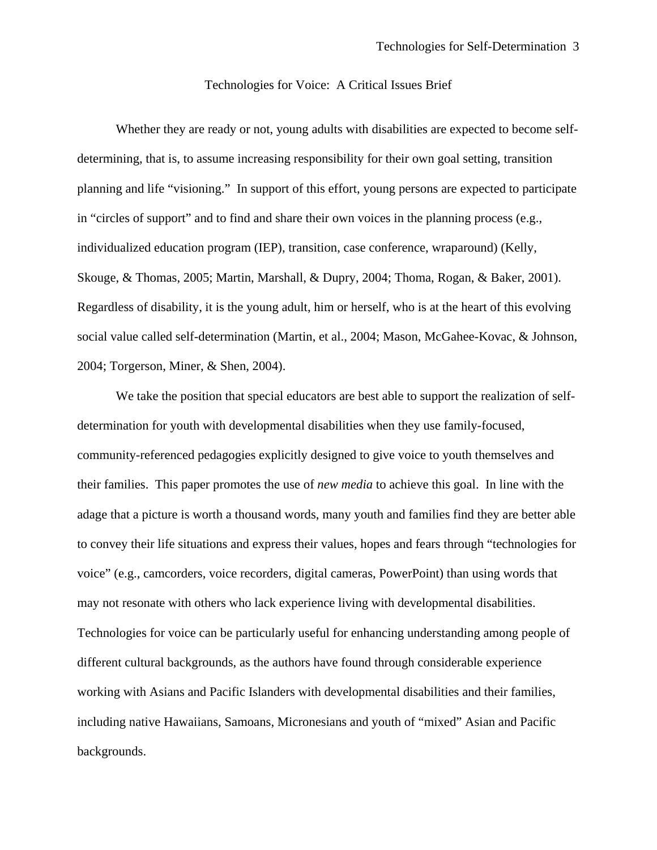#### Technologies for Voice: A Critical Issues Brief

 Whether they are ready or not, young adults with disabilities are expected to become selfdetermining, that is, to assume increasing responsibility for their own goal setting, transition planning and life "visioning." In support of this effort, young persons are expected to participate in "circles of support" and to find and share their own voices in the planning process (e.g., individualized education program (IEP), transition, case conference, wraparound) (Kelly, Skouge, & Thomas, 2005; Martin, Marshall, & Dupry, 2004; Thoma, Rogan, & Baker, 2001). Regardless of disability, it is the young adult, him or herself, who is at the heart of this evolving social value called self-determination (Martin, et al., 2004; Mason, McGahee-Kovac, & Johnson, 2004; Torgerson, Miner, & Shen, 2004).

We take the position that special educators are best able to support the realization of selfdetermination for youth with developmental disabilities when they use family-focused, community-referenced pedagogies explicitly designed to give voice to youth themselves and their families. This paper promotes the use of *new media* to achieve this goal. In line with the adage that a picture is worth a thousand words, many youth and families find they are better able to convey their life situations and express their values, hopes and fears through "technologies for voice" (e.g., camcorders, voice recorders, digital cameras, PowerPoint) than using words that may not resonate with others who lack experience living with developmental disabilities. Technologies for voice can be particularly useful for enhancing understanding among people of different cultural backgrounds, as the authors have found through considerable experience working with Asians and Pacific Islanders with developmental disabilities and their families, including native Hawaiians, Samoans, Micronesians and youth of "mixed" Asian and Pacific backgrounds.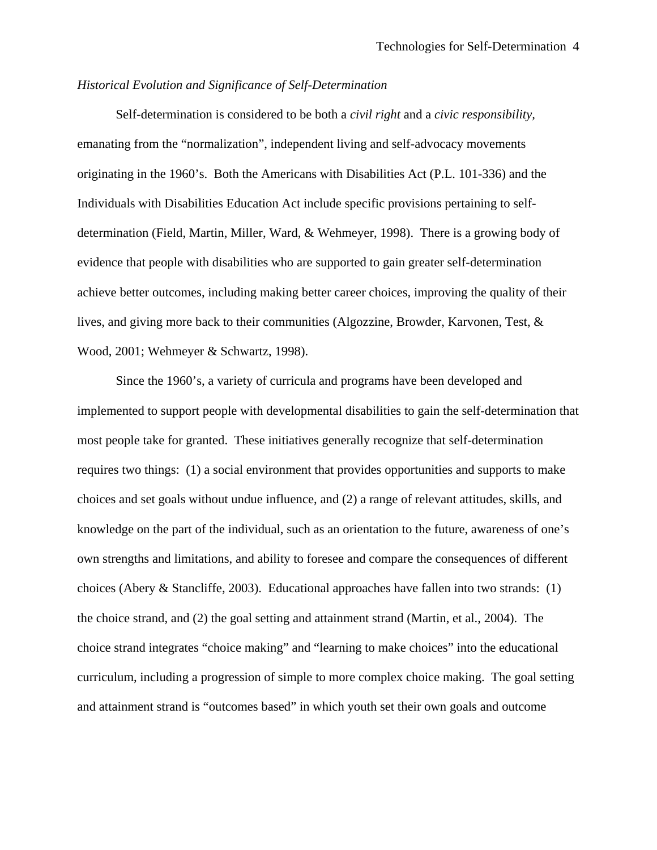### *Historical Evolution and Significance of Self-Determination*

Self-determination is considered to be both a *civil right* and a *civic responsibility,* emanating from the "normalization", independent living and self-advocacy movements originating in the 1960's. Both the Americans with Disabilities Act (P.L. 101-336) and the Individuals with Disabilities Education Act include specific provisions pertaining to selfdetermination (Field, Martin, Miller, Ward, & Wehmeyer, 1998). There is a growing body of evidence that people with disabilities who are supported to gain greater self-determination achieve better outcomes, including making better career choices, improving the quality of their lives, and giving more back to their communities (Algozzine, Browder, Karvonen, Test, & Wood, 2001; Wehmeyer & Schwartz, 1998).

 Since the 1960's, a variety of curricula and programs have been developed and implemented to support people with developmental disabilities to gain the self-determination that most people take for granted. These initiatives generally recognize that self-determination requires two things: (1) a social environment that provides opportunities and supports to make choices and set goals without undue influence, and (2) a range of relevant attitudes, skills, and knowledge on the part of the individual, such as an orientation to the future, awareness of one's own strengths and limitations, and ability to foresee and compare the consequences of different choices (Abery & Stancliffe, 2003). Educational approaches have fallen into two strands: (1) the choice strand, and (2) the goal setting and attainment strand (Martin, et al., 2004). The choice strand integrates "choice making" and "learning to make choices" into the educational curriculum, including a progression of simple to more complex choice making. The goal setting and attainment strand is "outcomes based" in which youth set their own goals and outcome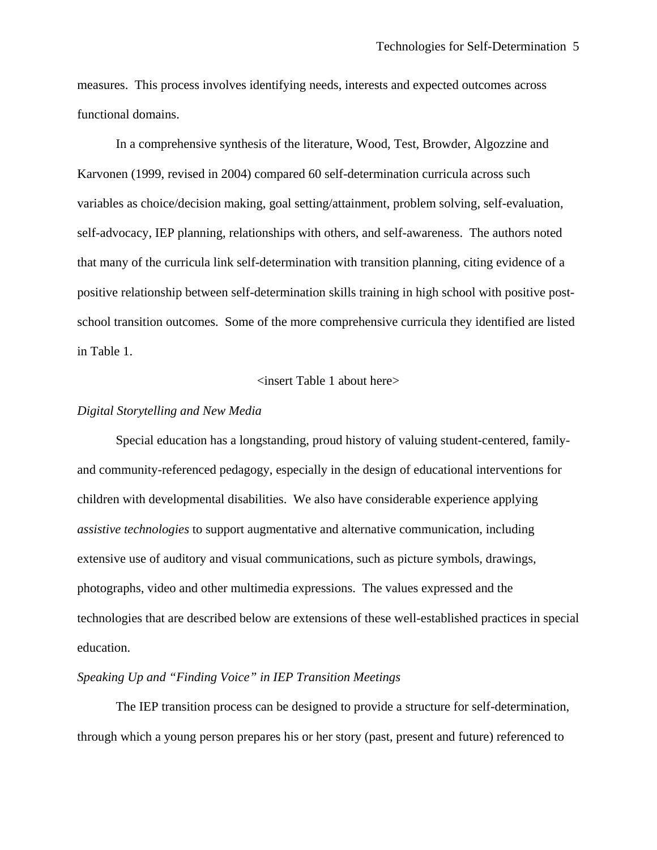measures. This process involves identifying needs, interests and expected outcomes across functional domains.

 In a comprehensive synthesis of the literature, Wood, Test, Browder, Algozzine and Karvonen (1999, revised in 2004) compared 60 self-determination curricula across such variables as choice/decision making, goal setting/attainment, problem solving, self-evaluation, self-advocacy, IEP planning, relationships with others, and self-awareness. The authors noted that many of the curricula link self-determination with transition planning, citing evidence of a positive relationship between self-determination skills training in high school with positive postschool transition outcomes. Some of the more comprehensive curricula they identified are listed in Table 1.

#### <insert Table 1 about here>

#### *Digital Storytelling and New Media*

 Special education has a longstanding, proud history of valuing student-centered, familyand community-referenced pedagogy, especially in the design of educational interventions for children with developmental disabilities. We also have considerable experience applying *assistive technologies* to support augmentative and alternative communication, including extensive use of auditory and visual communications, such as picture symbols, drawings, photographs, video and other multimedia expressions. The values expressed and the technologies that are described below are extensions of these well-established practices in special education.

### *Speaking Up and "Finding Voice" in IEP Transition Meetings*

 The IEP transition process can be designed to provide a structure for self-determination, through which a young person prepares his or her story (past, present and future) referenced to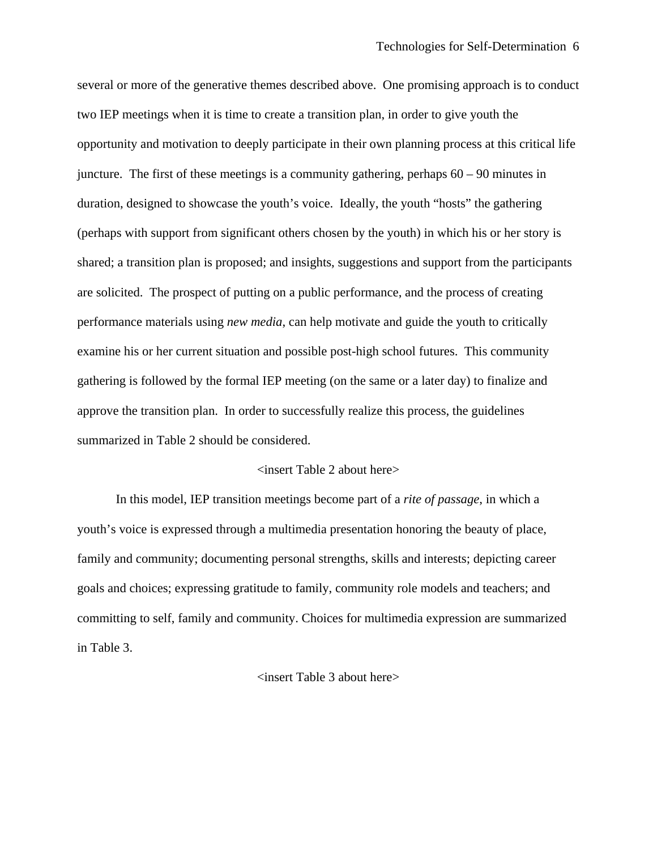several or more of the generative themes described above. One promising approach is to conduct two IEP meetings when it is time to create a transition plan, in order to give youth the opportunity and motivation to deeply participate in their own planning process at this critical life juncture. The first of these meetings is a community gathering, perhaps 60 – 90 minutes in duration, designed to showcase the youth's voice. Ideally, the youth "hosts" the gathering (perhaps with support from significant others chosen by the youth) in which his or her story is shared; a transition plan is proposed; and insights, suggestions and support from the participants are solicited. The prospect of putting on a public performance, and the process of creating performance materials using *new media*, can help motivate and guide the youth to critically examine his or her current situation and possible post-high school futures. This community gathering is followed by the formal IEP meeting (on the same or a later day) to finalize and approve the transition plan. In order to successfully realize this process, the guidelines summarized in Table 2 should be considered.

#### <insert Table 2 about here>

 In this model, IEP transition meetings become part of a *rite of passage*, in which a youth's voice is expressed through a multimedia presentation honoring the beauty of place, family and community; documenting personal strengths, skills and interests; depicting career goals and choices; expressing gratitude to family, community role models and teachers; and committing to self, family and community. Choices for multimedia expression are summarized in Table 3.

#### <insert Table 3 about here>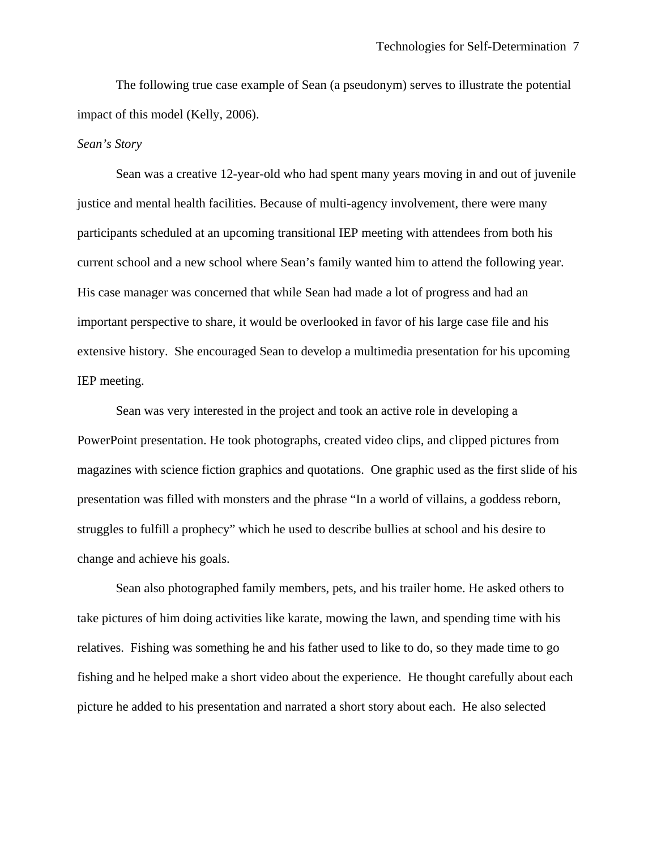The following true case example of Sean (a pseudonym) serves to illustrate the potential impact of this model (Kelly, 2006).

#### *Sean's Story*

Sean was a creative 12-year-old who had spent many years moving in and out of juvenile justice and mental health facilities. Because of multi-agency involvement, there were many participants scheduled at an upcoming transitional IEP meeting with attendees from both his current school and a new school where Sean's family wanted him to attend the following year. His case manager was concerned that while Sean had made a lot of progress and had an important perspective to share, it would be overlooked in favor of his large case file and his extensive history. She encouraged Sean to develop a multimedia presentation for his upcoming IEP meeting.

Sean was very interested in the project and took an active role in developing a PowerPoint presentation. He took photographs, created video clips, and clipped pictures from magazines with science fiction graphics and quotations. One graphic used as the first slide of his presentation was filled with monsters and the phrase "In a world of villains, a goddess reborn, struggles to fulfill a prophecy" which he used to describe bullies at school and his desire to change and achieve his goals.

Sean also photographed family members, pets, and his trailer home. He asked others to take pictures of him doing activities like karate, mowing the lawn, and spending time with his relatives. Fishing was something he and his father used to like to do, so they made time to go fishing and he helped make a short video about the experience. He thought carefully about each picture he added to his presentation and narrated a short story about each. He also selected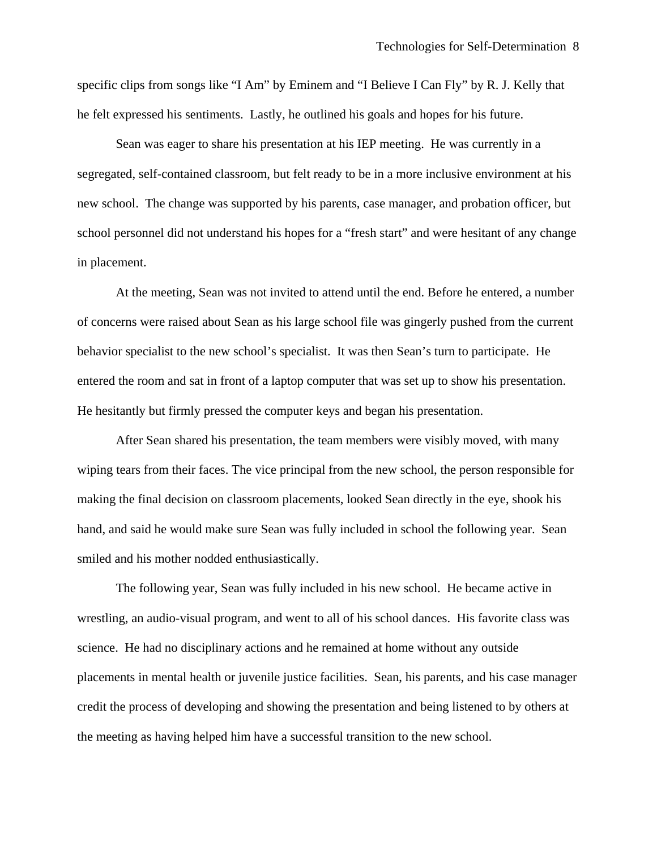specific clips from songs like "I Am" by Eminem and "I Believe I Can Fly" by R. J. Kelly that he felt expressed his sentiments. Lastly, he outlined his goals and hopes for his future.

Sean was eager to share his presentation at his IEP meeting. He was currently in a segregated, self-contained classroom, but felt ready to be in a more inclusive environment at his new school. The change was supported by his parents, case manager, and probation officer, but school personnel did not understand his hopes for a "fresh start" and were hesitant of any change in placement.

At the meeting, Sean was not invited to attend until the end. Before he entered, a number of concerns were raised about Sean as his large school file was gingerly pushed from the current behavior specialist to the new school's specialist. It was then Sean's turn to participate. He entered the room and sat in front of a laptop computer that was set up to show his presentation. He hesitantly but firmly pressed the computer keys and began his presentation.

After Sean shared his presentation, the team members were visibly moved, with many wiping tears from their faces. The vice principal from the new school, the person responsible for making the final decision on classroom placements, looked Sean directly in the eye, shook his hand, and said he would make sure Sean was fully included in school the following year. Sean smiled and his mother nodded enthusiastically.

 The following year, Sean was fully included in his new school. He became active in wrestling, an audio-visual program, and went to all of his school dances. His favorite class was science. He had no disciplinary actions and he remained at home without any outside placements in mental health or juvenile justice facilities. Sean, his parents, and his case manager credit the process of developing and showing the presentation and being listened to by others at the meeting as having helped him have a successful transition to the new school.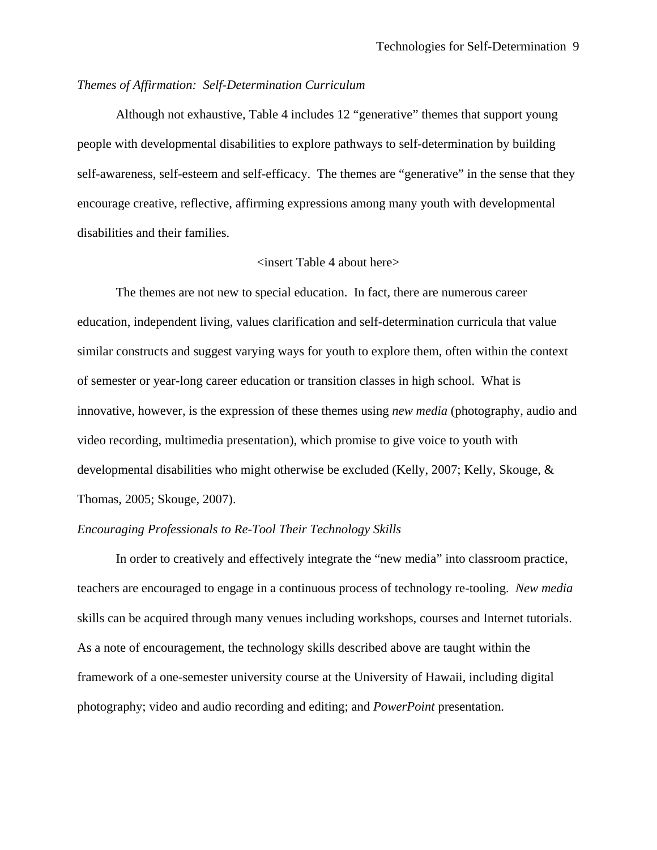### *Themes of Affirmation: Self-Determination Curriculum*

 Although not exhaustive, Table 4 includes 12 "generative" themes that support young people with developmental disabilities to explore pathways to self-determination by building self-awareness, self-esteem and self-efficacy. The themes are "generative" in the sense that they encourage creative, reflective, affirming expressions among many youth with developmental disabilities and their families.

#### <insert Table 4 about here>

The themes are not new to special education. In fact, there are numerous career education, independent living, values clarification and self-determination curricula that value similar constructs and suggest varying ways for youth to explore them, often within the context of semester or year-long career education or transition classes in high school. What is innovative, however, is the expression of these themes using *new media* (photography, audio and video recording, multimedia presentation), which promise to give voice to youth with developmental disabilities who might otherwise be excluded (Kelly, 2007; Kelly, Skouge, & Thomas, 2005; Skouge, 2007).

### *Encouraging Professionals to Re-Tool Their Technology Skills*

In order to creatively and effectively integrate the "new media" into classroom practice, teachers are encouraged to engage in a continuous process of technology re-tooling. *New media* skills can be acquired through many venues including workshops, courses and Internet tutorials. As a note of encouragement, the technology skills described above are taught within the framework of a one-semester university course at the University of Hawaii, including digital photography; video and audio recording and editing; and *PowerPoint* presentation.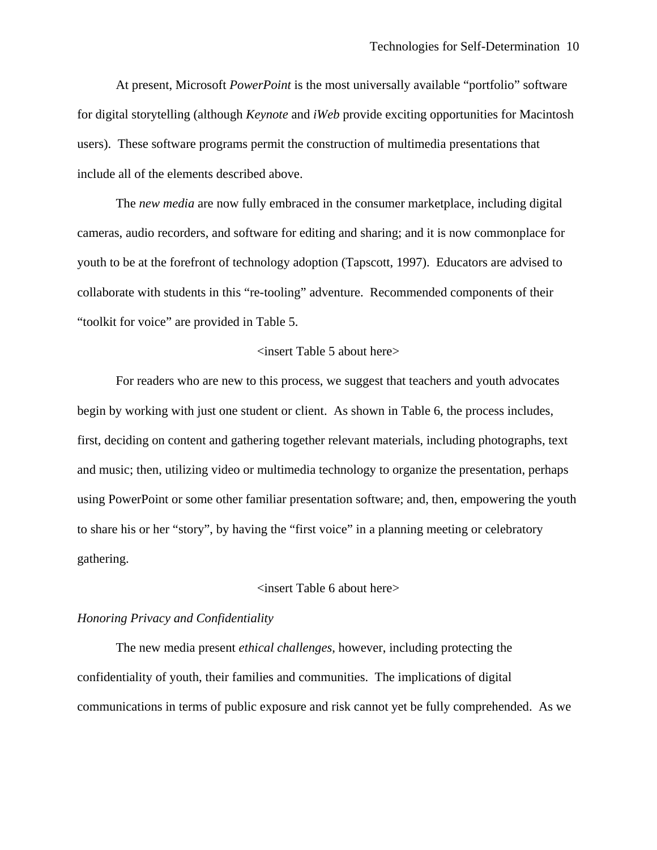At present, Microsoft *PowerPoint* is the most universally available "portfolio" software for digital storytelling (although *Keynote* and *iWeb* provide exciting opportunities for Macintosh users). These software programs permit the construction of multimedia presentations that include all of the elements described above.

 The *new media* are now fully embraced in the consumer marketplace, including digital cameras, audio recorders, and software for editing and sharing; and it is now commonplace for youth to be at the forefront of technology adoption (Tapscott, 1997). Educators are advised to collaborate with students in this "re-tooling" adventure. Recommended components of their "toolkit for voice" are provided in Table 5.

#### <insert Table 5 about here>

For readers who are new to this process, we suggest that teachers and youth advocates begin by working with just one student or client. As shown in Table 6, the process includes, first, deciding on content and gathering together relevant materials, including photographs, text and music; then, utilizing video or multimedia technology to organize the presentation, perhaps using PowerPoint or some other familiar presentation software; and, then, empowering the youth to share his or her "story", by having the "first voice" in a planning meeting or celebratory gathering.

#### <insert Table 6 about here>

#### *Honoring Privacy and Confidentiality*

 The new media present *ethical challenges*, however, including protecting the confidentiality of youth, their families and communities. The implications of digital communications in terms of public exposure and risk cannot yet be fully comprehended. As we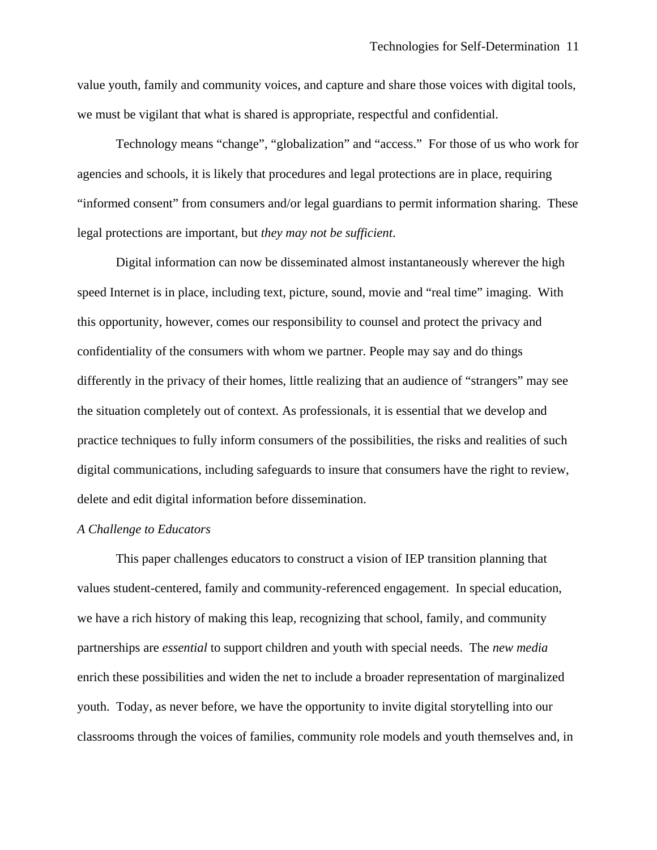value youth, family and community voices, and capture and share those voices with digital tools, we must be vigilant that what is shared is appropriate, respectful and confidential.

 Technology means "change", "globalization" and "access." For those of us who work for agencies and schools, it is likely that procedures and legal protections are in place, requiring "informed consent" from consumers and/or legal guardians to permit information sharing. These legal protections are important, but *they may not be sufficient*.

 Digital information can now be disseminated almost instantaneously wherever the high speed Internet is in place, including text, picture, sound, movie and "real time" imaging. With this opportunity, however, comes our responsibility to counsel and protect the privacy and confidentiality of the consumers with whom we partner. People may say and do things differently in the privacy of their homes, little realizing that an audience of "strangers" may see the situation completely out of context. As professionals, it is essential that we develop and practice techniques to fully inform consumers of the possibilities, the risks and realities of such digital communications, including safeguards to insure that consumers have the right to review, delete and edit digital information before dissemination.

#### *A Challenge to Educators*

This paper challenges educators to construct a vision of IEP transition planning that values student-centered, family and community-referenced engagement. In special education, we have a rich history of making this leap, recognizing that school, family, and community partnerships are *essential* to support children and youth with special needs. The *new media* enrich these possibilities and widen the net to include a broader representation of marginalized youth. Today, as never before, we have the opportunity to invite digital storytelling into our classrooms through the voices of families, community role models and youth themselves and, in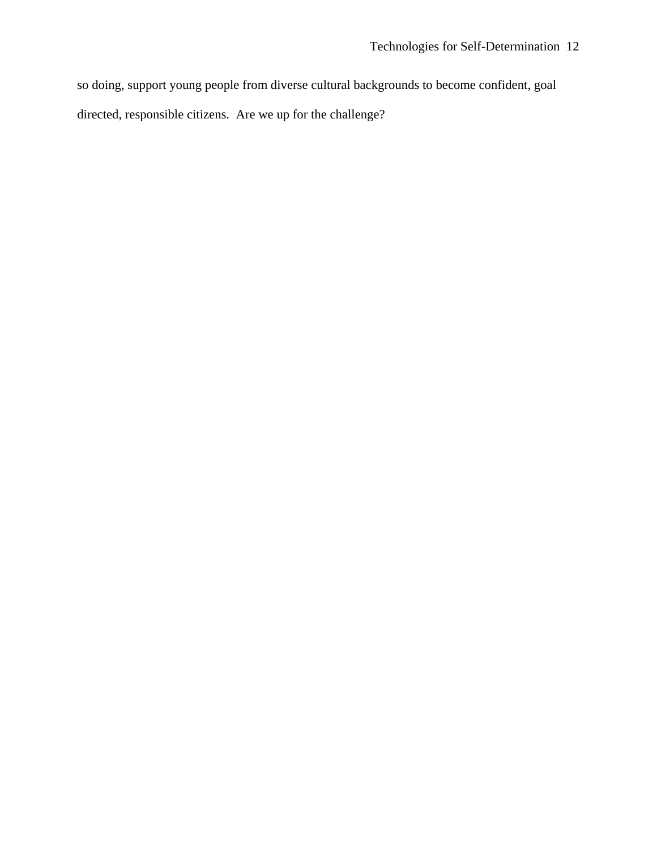so doing, support young people from diverse cultural backgrounds to become confident, goal directed, responsible citizens. Are we up for the challenge?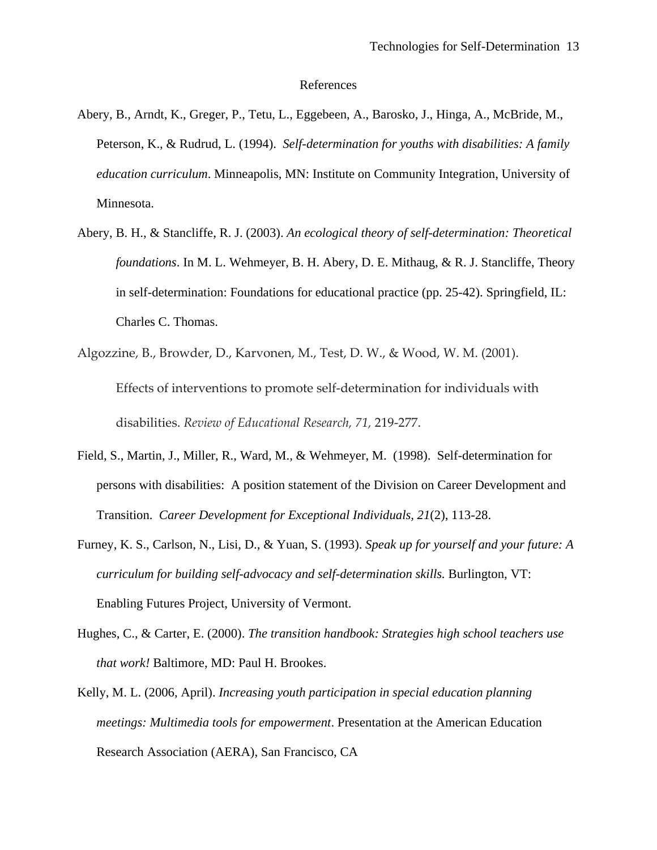#### References

- Abery, B., Arndt, K., Greger, P., Tetu, L., Eggebeen, A., Barosko, J., Hinga, A., McBride, M., Peterson, K., & Rudrud, L. (1994). *Self-determination for youths with disabilities: A family education curriculum*. Minneapolis, MN: Institute on Community Integration, University of Minnesota.
- Abery, B. H., & Stancliffe, R. J. (2003). *An ecological theory of self-determination: Theoretical foundations*. In M. L. Wehmeyer, B. H. Abery, D. E. Mithaug, & R. J. Stancliffe, Theory in self-determination: Foundations for educational practice (pp. 25-42). Springfield, IL: Charles C. Thomas.
- Algozzine, B., Browder, D., Karvonen, M., Test, D. W., & Wood, W. M. (2001). Effects of interventions to promote self‐determination for individuals with disabilities. *Review of Educational Research, 71,* 219‐277.
- Field, S., Martin, J., Miller, R., Ward, M., & Wehmeyer, M. (1998). Self-determination for persons with disabilities: A position statement of the Division on Career Development and Transition. *Career Development for Exceptional Individuals, 21*(2), 113-28.
- Furney, K. S., Carlson, N., Lisi, D., & Yuan, S. (1993). *Speak up for yourself and your future: A curriculum for building self-advocacy and self-determination skills.* Burlington, VT: Enabling Futures Project, University of Vermont.
- Hughes, C., & Carter, E. (2000). *The transition handbook: Strategies high school teachers use that work!* Baltimore, MD: Paul H. Brookes.
- Kelly, M. L. (2006, April). *Increasing youth participation in special education planning meetings: Multimedia tools for empowerment*. Presentation at the American Education Research Association (AERA), San Francisco, CA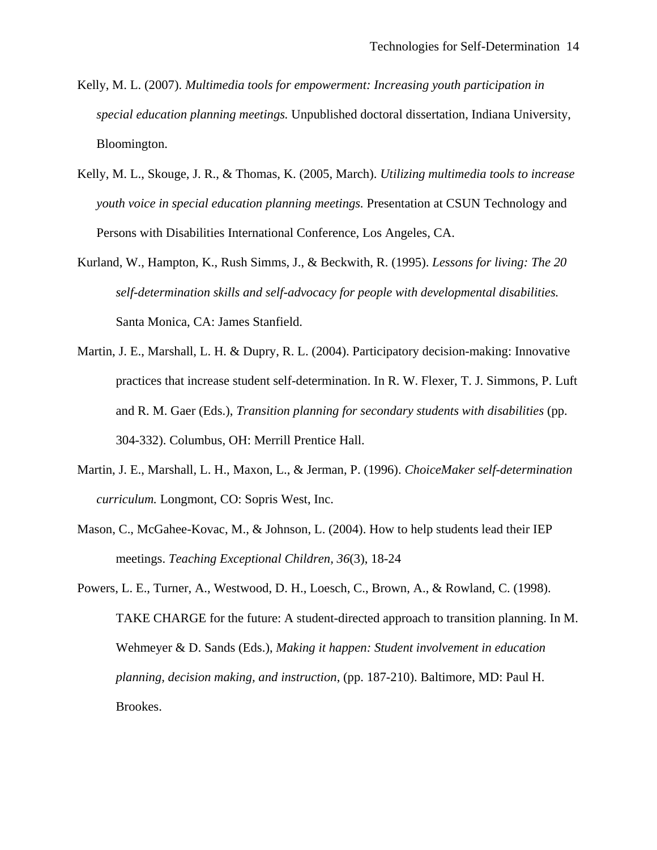- Kelly, M. L. (2007). *Multimedia tools for empowerment: Increasing youth participation in special education planning meetings.* Unpublished doctoral dissertation, Indiana University, Bloomington.
- Kelly, M. L., Skouge, J. R., & Thomas, K. (2005, March). *Utilizing multimedia tools to increase youth voice in special education planning meetings.* Presentation at CSUN Technology and Persons with Disabilities International Conference, Los Angeles, CA.
- Kurland, W., Hampton, K., Rush Simms, J., & Beckwith, R. (1995). *Lessons for living: The 20 self-determination skills and self-advocacy for people with developmental disabilities.* Santa Monica, CA: James Stanfield.
- Martin, J. E., Marshall, L. H. & Dupry, R. L. (2004). Participatory decision-making: Innovative practices that increase student self-determination. In R. W. Flexer, T. J. Simmons, P. Luft and R. M. Gaer (Eds.), *Transition planning for secondary students with disabilities* (pp. 304-332). Columbus, OH: Merrill Prentice Hall.
- Martin, J. E., Marshall, L. H., Maxon, L., & Jerman, P. (1996). *ChoiceMaker self-determination curriculum.* Longmont, CO: Sopris West, Inc.
- Mason, C., McGahee-Kovac, M., & Johnson, L. (2004). How to help students lead their IEP meetings. *Teaching Exceptional Children, 36*(3), 18-24
- Powers, L. E., Turner, A., Westwood, D. H., Loesch, C., Brown, A., & Rowland, C. (1998). TAKE CHARGE for the future: A student-directed approach to transition planning. In M. Wehmeyer & D. Sands (Eds.), *Making it happen: Student involvement in education planning, decision making, and instruction*, (pp. 187-210). Baltimore, MD: Paul H. Brookes.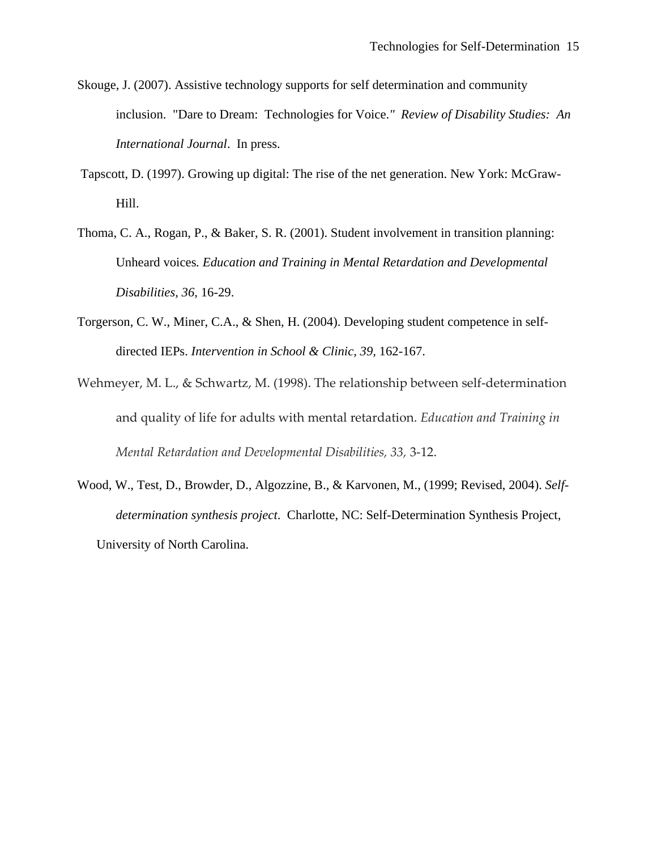- Skouge, J. (2007). Assistive technology supports for self determination and community inclusion. "Dare to Dream: Technologies for Voice.*" Review of Disability Studies: An International Journal*. In press.
- Tapscott, D. (1997). Growing up digital: The rise of the net generation. New York: McGraw-Hill.
- Thoma, C. A., Rogan, P., & Baker, S. R. (2001). Student involvement in transition planning: Unheard voices*. Education and Training in Mental Retardation and Developmental Disabilities, 36*, 16-29.
- Torgerson, C. W., Miner, C.A., & Shen, H. (2004). Developing student competence in self directed IEPs. *Intervention in School & Clinic, 39,* 162-167.
- Wehmeyer, M. L., & Schwartz, M. (1998). The relationship between self-determination and quality of life for adults with mental retardation. *Education and Training in Mental Retardation and Developmental Disabilities, 33,* 3‐12.
- Wood, W., Test, D., Browder, D., Algozzine, B., & Karvonen, M., (1999; Revised, 2004). *Self determination synthesis project*. Charlotte, NC: Self-Determination Synthesis Project, University of North Carolina.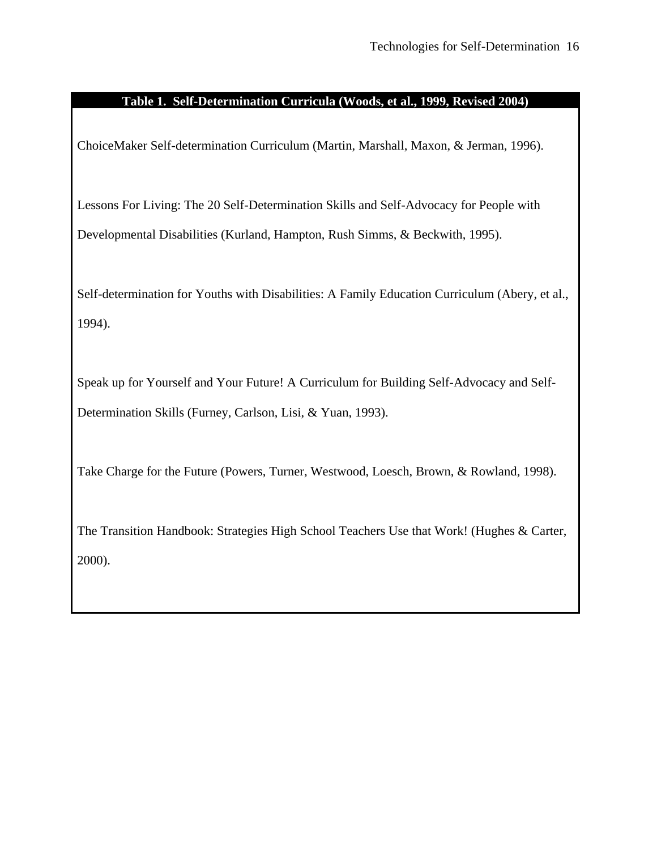### **Table 1. Self-Determination Curricula (Woods, et al., 1999, Revised 2004)**

ChoiceMaker Self-determination Curriculum (Martin, Marshall, Maxon, & Jerman, 1996).

Lessons For Living: The 20 Self-Determination Skills and Self-Advocacy for People with Developmental Disabilities (Kurland, Hampton, Rush Simms, & Beckwith, 1995).

Self-determination for Youths with Disabilities: A Family Education Curriculum (Abery, et al., 1994).

Speak up for Yourself and Your Future! A Curriculum for Building Self-Advocacy and Self-Determination Skills (Furney, Carlson, Lisi, & Yuan, 1993).

Take Charge for the Future (Powers, Turner, Westwood, Loesch, Brown, & Rowland, 1998).

The Transition Handbook: Strategies High School Teachers Use that Work! (Hughes & Carter, 2000).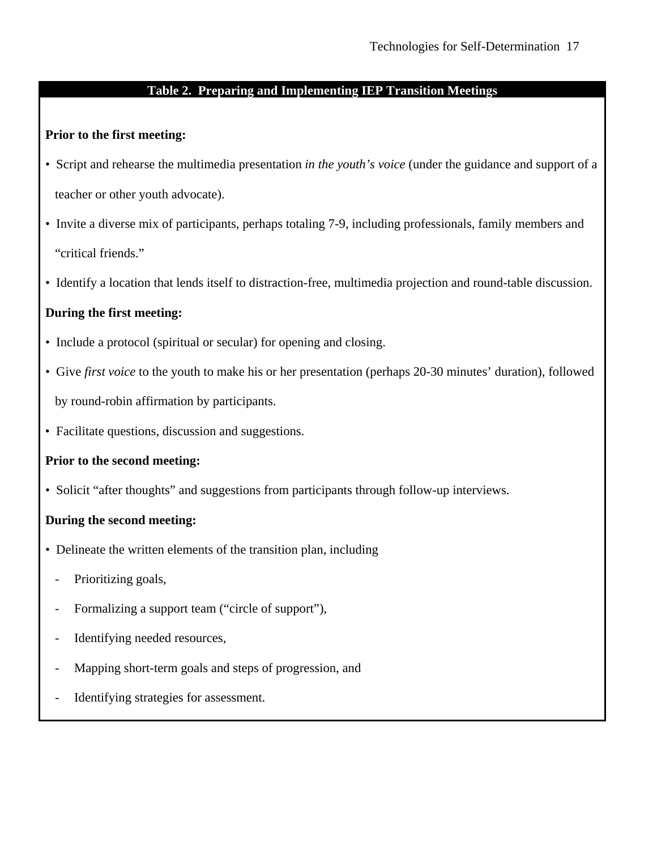# **Table 2. Preparing and Implementing IEP Transition Meetings**

### **Prior to the first meeting:**

- Script and rehearse the multimedia presentation *in the youth's voice* (under the guidance and support of a teacher or other youth advocate).
- Invite a diverse mix of participants, perhaps totaling 7-9, including professionals, family members and "critical friends."
- Identify a location that lends itself to distraction-free, multimedia projection and round-table discussion.

# **During the first meeting:**

- Include a protocol (spiritual or secular) for opening and closing.
- Give *first voice* to the youth to make his or her presentation (perhaps 20-30 minutes' duration), followed by round-robin affirmation by participants.
- Facilitate questions, discussion and suggestions.

# **Prior to the second meeting:**

• Solicit "after thoughts" and suggestions from participants through follow-up interviews.

# **During the second meeting:**

- Delineate the written elements of the transition plan, including
	- Prioritizing goals,
	- Formalizing a support team ("circle of support"),
	- Identifying needed resources,
	- Mapping short-term goals and steps of progression, and
	- Identifying strategies for assessment.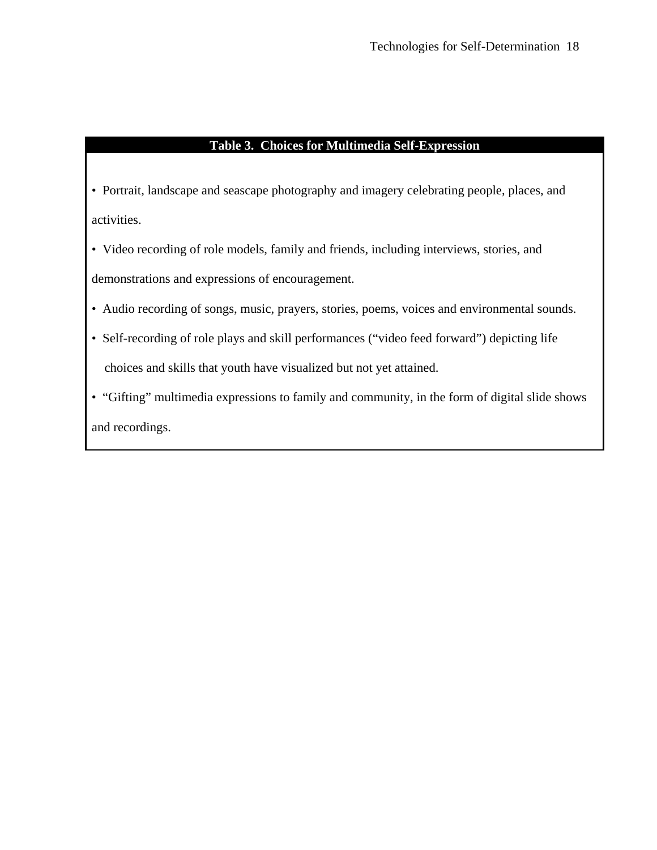# **Table 3. Choices for Multimedia Self-Expression**

- Portrait, landscape and seascape photography and imagery celebrating people, places, and activities.
- Video recording of role models, family and friends, including interviews, stories, and demonstrations and expressions of encouragement.
- Audio recording of songs, music, prayers, stories, poems, voices and environmental sounds.
- Self-recording of role plays and skill performances ("video feed forward") depicting life choices and skills that youth have visualized but not yet attained.
- "Gifting" multimedia expressions to family and community, in the form of digital slide shows and recordings.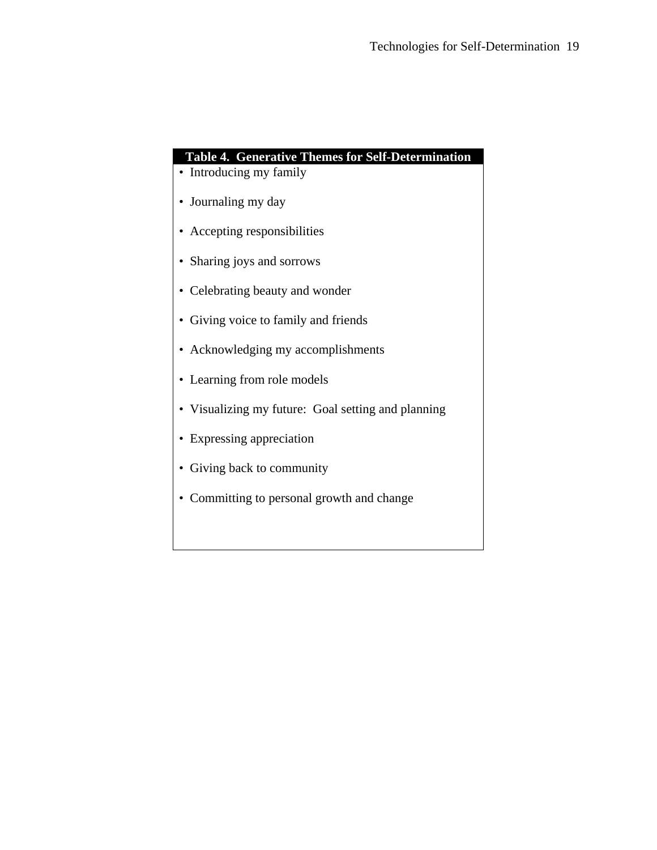# **Table 4. Generative Themes for Self-Determination**

- Introducing my family
- Journaling my day
- Accepting responsibilities
- Sharing joys and sorrows
- Celebrating beauty and wonder
- Giving voice to family and friends
- Acknowledging my accomplishments
- Learning from role models
- Visualizing my future: Goal setting and planning
- Expressing appreciation
- Giving back to community
- Committing to personal growth and change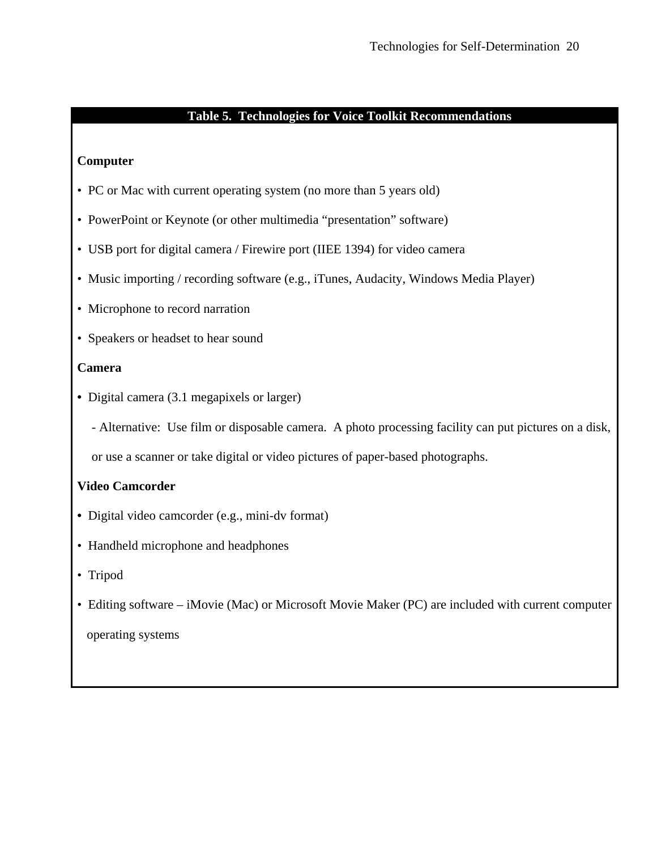### **Table 5. Technologies for Voice Toolkit Recommendations**

### **Computer**

- PC or Mac with current operating system (no more than 5 years old)
- PowerPoint or Keynote (or other multimedia "presentation" software)
- USB port for digital camera / Firewire port (IIEE 1394) for video camera
- Music importing / recording software (e.g., iTunes, Audacity, Windows Media Player)
- Microphone to record narration
- Speakers or headset to hear sound

# **Camera**

**•** Digital camera (3.1 megapixels or larger)

- Alternative: Use film or disposable camera. A photo processing facility can put pictures on a disk,

or use a scanner or take digital or video pictures of paper-based photographs.

# **Video Camcorder**

- Digital video camcorder (e.g., mini-dv format)
- Handheld microphone and headphones
- Tripod
- Editing software iMovie (Mac) or Microsoft Movie Maker (PC) are included with current computer operating systems